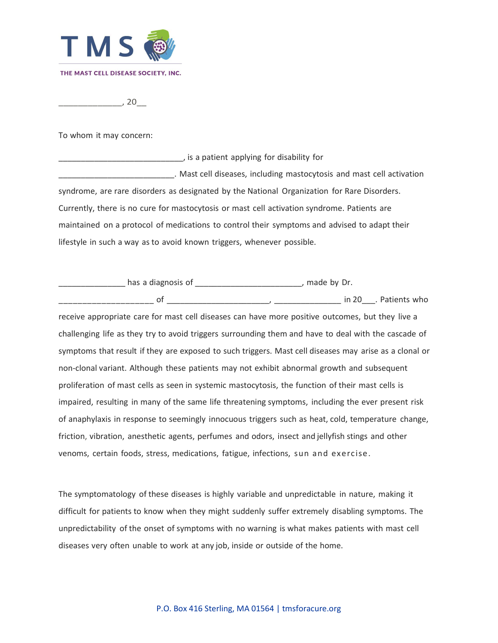

 $, 20$ 

To whom it may concern:

\_\_\_\_\_\_\_\_\_\_\_\_\_\_\_\_\_\_\_\_\_\_\_\_\_\_\_\_, is a patient applying for disability for \_\_\_\_\_\_\_\_\_\_\_\_\_\_\_\_\_\_\_\_\_\_\_\_\_\_. Mast cell diseases, including mastocytosis and mast cell activation syndrome, are rare disorders as designated by the National Organization for Rare Disorders. Currently, there is no cure for mastocytosis or mast cell activation syndrome. Patients are maintained on a protocol of medications to control their symptoms and advised to adapt their lifestyle in such a way as to avoid known triggers, whenever possible.

| has a diagnosis of                                                                                     | , made by Dr. |
|--------------------------------------------------------------------------------------------------------|---------------|
| of                                                                                                     |               |
| receive appropriate care for mast cell diseases can have more positive outcomes, but they live a       |               |
| challenging life as they try to avoid triggers surrounding them and have to deal with the cascade of   |               |
| symptoms that result if they are exposed to such triggers. Mast cell diseases may arise as a clonal or |               |
| non-clonal variant. Although these patients may not exhibit abnormal growth and subsequent             |               |
| proliferation of mast cells as seen in systemic mastocytosis, the function of their mast cells is      |               |
| impaired, resulting in many of the same life threatening symptoms, including the ever present risk     |               |
| of anaphylaxis in response to seemingly innocuous triggers such as heat, cold, temperature change,     |               |
| friction, vibration, anesthetic agents, perfumes and odors, insect and jellyfish stings and other      |               |
| venoms, certain foods, stress, medications, fatigue, infections, sun and exercise.                     |               |

The symptomatology of these diseases is highly variable and unpredictable in nature, making it difficult for patients to know when they might suddenly suffer extremely disabling symptoms. The unpredictability of the onset of symptoms with no warning is what makes patients with mast cell diseases very often unable to work at any job, inside or outside of the home.